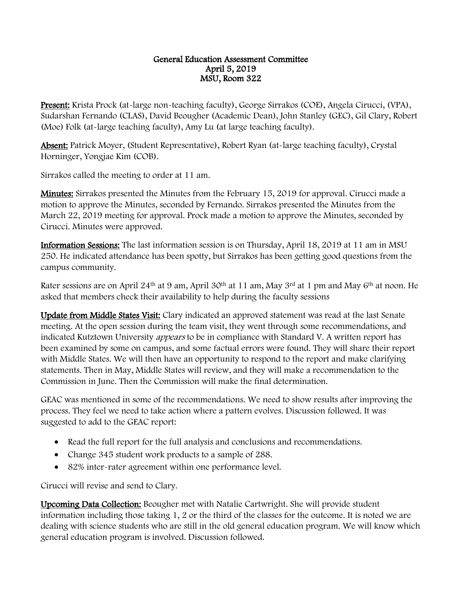## General Education Assessment Committee April 5, 2019 MSU, Room 322

Present: Krista Prock (at-large non-teaching faculty), George Sirrakos (COE), Angela Cirucci, (VPA), Sudarshan Fernando (CLAS), David Beougher (Academic Dean), John Stanley (GEC), Gil Clary, Robert (Moe) Folk (at-large teaching faculty), Amy Lu (at large teaching faculty).

Absent: Patrick Moyer, (Student Representative), Robert Ryan (at-large teaching faculty), Crystal Horninger, Yongjae Kim (COB).

Sirrakos called the meeting to order at 11 am.

Minutes: Sirrakos presented the Minutes from the February 15, 2019 for approval. Cirucci made a motion to approve the Minutes, seconded by Fernando. Sirrakos presented the Minutes from the March 22, 2019 meeting for approval. Prock made a motion to approve the Minutes, seconded by Cirucci. Minutes were approved.

Information Sessions: The last information session is on Thursday, April 18, 2019 at 11 am in MSU 250. He indicated attendance has been spotty, but Sirrakos has been getting good questions from the campus community.

Rater sessions are on April 24<sup>th</sup> at 9 am, April 30<sup>th</sup> at 11 am, May 3<sup>rd</sup> at 1 pm and May 6<sup>th</sup> at noon. He asked that members check their availability to help during the faculty sessions

Update from Middle States Visit: Clary indicated an approved statement was read at the last Senate meeting. At the open session during the team visit, they went through some recommendations, and indicated Kutztown University *appears* to be in compliance with Standard V. A written report has been examined by some on campus, and some factual errors were found. They will share their report with Middle States. We will then have an opportunity to respond to the report and make clarifying statements. Then in May, Middle States will review, and they will make a recommendation to the Commission in June. Then the Commission will make the final determination.

GEAC was mentioned in some of the recommendations. We need to show results after improving the process. They feel we need to take action where a pattern evolves. Discussion followed. It was suggested to add to the GEAC report:

- Read the full report for the full analysis and conclusions and recommendations.
- Change 345 student work products to a sample of 288.
- 82% inter-rater agreement within one performance level.

Cirucci will revise and send to Clary.

Upcoming Data Collection: Beougher met with Natalie Cartwright. She will provide student information including those taking 1, 2 or the third of the classes for the outcome. It is noted we are dealing with science students who are still in the old general education program. We will know which general education program is involved. Discussion followed.